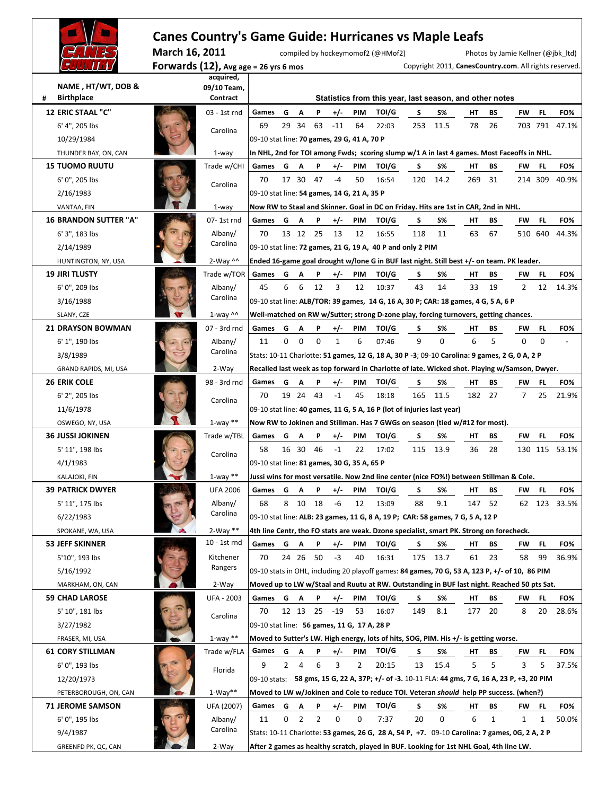|                              |                | <b>Canes Country's Game Guide: Hurricanes vs Maple Leafs</b> |                                                                                    |              |             |              |              |     |                                                                                                 |     |           |     |    |                                    |          |                                                        |
|------------------------------|----------------|--------------------------------------------------------------|------------------------------------------------------------------------------------|--------------|-------------|--------------|--------------|-----|-------------------------------------------------------------------------------------------------|-----|-----------|-----|----|------------------------------------|----------|--------------------------------------------------------|
|                              | March 16, 2011 |                                                              |                                                                                    |              |             |              |              |     | compiled by hockeymomof2 (@HMof2)                                                               |     |           |     |    | Photos by Jamie Kellner (@jbk ltd) |          |                                                        |
|                              |                | Forwards $(12)$ , Avg age = 26 yrs 6 mos                     |                                                                                    |              |             |              |              |     |                                                                                                 |     |           |     |    |                                    |          | Copyright 2011, CanesCountry.com. All rights reserved. |
|                              |                | acquired,                                                    |                                                                                    |              |             |              |              |     |                                                                                                 |     |           |     |    |                                    |          |                                                        |
| NAME, HT/WT, DOB &           |                | 09/10 Team,                                                  |                                                                                    |              |             |              |              |     |                                                                                                 |     |           |     |    |                                    |          |                                                        |
| <b>Birthplace</b><br>#       |                | Contract                                                     |                                                                                    |              |             |              |              |     | Statistics from this year, last season, and other notes                                         |     |           |     |    |                                    |          |                                                        |
| <b>12 ERIC STAAL "C"</b>     |                | 03 - 1st rnd                                                 | Games                                                                              | G            | А           | P            | $+/-$        | PIM | TOI/G                                                                                           | S   | S%        | HТ  | ВS | FW                                 | FL       | FO%                                                    |
| 6' 4", 205 lbs               |                | Carolina                                                     | 69                                                                                 | 29 34        |             | 63           | $-11$        | 64  | 22:03                                                                                           | 253 | 11.5      | 78  | 26 |                                    | 703 791  | 47.1%                                                  |
| 10/29/1984                   |                |                                                              | 09-10 stat line: 70 games, 29 G, 41 A, 70 P                                        |              |             |              |              |     |                                                                                                 |     |           |     |    |                                    |          |                                                        |
| THUNDER BAY, ON, CAN         |                | $1$ -way                                                     |                                                                                    |              |             |              |              |     | In NHL, 2nd for TOI among Fwds; scoring slump w/1 A in last 4 games. Most Faceoffs in NHL.      |     |           |     |    |                                    |          |                                                        |
| <b>15 TUOMO RUUTU</b>        |                | Trade w/CHI                                                  | Games                                                                              | G            | A           | P            | $+/-$        | PIM | TOI/G                                                                                           | s   | S%        | HТ  | BS | FW                                 | FL       | FO%                                                    |
| 6' 0", 205 lbs               |                | Carolina                                                     | 70                                                                                 |              | 17 30 47    |              | -4           | 50  | 16:54                                                                                           | 120 | 14.2      | 269 | 31 |                                    | 214 309  | 40.9%                                                  |
| 2/16/1983                    |                |                                                              | 09-10 stat line: 54 games, 14 G, 21 A, 35 P                                        |              |             |              |              |     |                                                                                                 |     |           |     |    |                                    |          |                                                        |
| VANTAA, FIN                  |                | $1$ -way                                                     |                                                                                    |              |             |              |              |     | Now RW to Staal and Skinner. Goal in DC on Friday. Hits are 1st in CAR, 2nd in NHL.             |     |           |     |    |                                    |          |                                                        |
| <b>16 BRANDON SUTTER "A"</b> |                | 07-1st rnd                                                   | Games                                                                              | G            | A           | P            | $+/-$        | PIM | TOI/G                                                                                           | S   | S%        | HТ  | BS | FW                                 | FL       | FO%                                                    |
| 6' 3", 183 lbs               |                | Albany/                                                      | 70                                                                                 |              | 13 12 25    |              | 13           | 12  | 16:55                                                                                           | 118 | 11        | 63  | 67 |                                    | 510 640  | 44.3%                                                  |
| 2/14/1989                    |                | Carolina                                                     |                                                                                    |              |             |              |              |     | 09-10 stat line: 72 games, 21 G, 19 A, 40 P and only 2 PIM                                      |     |           |     |    |                                    |          |                                                        |
| HUNTINGTON, NY, USA          |                | $2-Way$ ^^                                                   |                                                                                    |              |             |              |              |     | Ended 16-game goal drought w/lone G in BUF last night. Still best +/- on team. PK leader.       |     |           |     |    |                                    |          |                                                        |
| <b>19 JIRI TLUSTY</b>        |                | Trade w/TOR                                                  | Games                                                                              | G            | A           | P            | $+/-$        | PIM | TOI/G                                                                                           | S   | <b>S%</b> | HТ  | BS | FW                                 | FL       | FO%                                                    |
| 6' 0", 209 lbs               |                | Albany/                                                      | 45                                                                                 | 6            | 6           | 12           | 3            | 12  | 10:37                                                                                           | 43  | 14        | 33  | 19 | $\overline{2}$                     | 12       | 14.3%                                                  |
| 3/16/1988                    |                | Carolina                                                     | 09-10 stat line: ALB/TOR: 39 games, 14 G, 16 A, 30 P; CAR: 18 games, 4 G, 5 A, 6 P |              |             |              |              |     |                                                                                                 |     |           |     |    |                                    |          |                                                        |
| SLANY, CZE                   |                | $1$ -way ^^                                                  |                                                                                    |              |             |              |              |     | Well-matched on RW w/Sutter; strong D-zone play, forcing turnovers, getting chances.            |     |           |     |    |                                    |          |                                                        |
| <b>21 DRAYSON BOWMAN</b>     |                | 07 - 3rd rnd                                                 | Games                                                                              | G            | A           | P            | $+/-$        | PIM | <b>TOI/G</b>                                                                                    | S   | S%        | HТ  | BS | FW                                 | FL       | FO%                                                    |
| 6' 1", 190 lbs               |                | Albany/                                                      | 11                                                                                 | 0            | $\mathbf 0$ | $\mathbf 0$  | $\mathbf{1}$ | 6   | 07:46                                                                                           | 9   | $\Omega$  | 6   | 5  | $\Omega$                           | $\Omega$ |                                                        |
| 3/8/1989                     |                | Carolina                                                     |                                                                                    |              |             |              |              |     | Stats: 10-11 Charlotte: 51 games, 12 G, 18 A, 30 P -3; 09-10 Carolina: 9 games, 2 G, 0 A, 2 P   |     |           |     |    |                                    |          |                                                        |
| GRAND RAPIDS, MI, USA        |                | 2-Way                                                        |                                                                                    |              |             |              |              |     | Recalled last week as top forward in Charlotte of late. Wicked shot. Playing w/Samson, Dwyer.   |     |           |     |    |                                    |          |                                                        |
| <b>26 ERIK COLE</b>          |                | 98 - 3rd rnd                                                 | Games                                                                              | G            | Α           | P            | $+/-$        | PIM | TOI/G                                                                                           | S   | S%        | HТ  | BS | FW                                 | FL       | FO%                                                    |
| 6' 2", 205 lbs               |                | Carolina                                                     | 70                                                                                 | 19 24        |             | - 43         | $-1$         | 45  | 18:18                                                                                           | 165 | 11.5      | 182 | 27 | 7                                  | 25       | 21.9%                                                  |
| 11/6/1978                    |                |                                                              |                                                                                    |              |             |              |              |     | 09-10 stat line: 40 games, 11 G, 5 A, 16 P (lot of injuries last year)                          |     |           |     |    |                                    |          |                                                        |
| OSWEGO, NY, USA              |                | $1$ -way $**$                                                |                                                                                    |              |             |              |              |     | Now RW to Jokinen and Stillman. Has 7 GWGs on season (tied w/#12 for most).                     |     |           |     |    |                                    |          |                                                        |
| <b>36 JUSSI JOKINEN</b>      |                | Trade w/TBL                                                  | Games                                                                              | G            | A           | P            | +/-          | PIM | TOI/G                                                                                           | s   | S%        | HТ  | ВS | FW                                 | FL       | FO%                                                    |
| 5' 11", 198 lbs              |                | Carolina                                                     | 58                                                                                 | 16 30        |             | 46           | $-1$         | 22  | 17:02                                                                                           | 115 | 13.9      | 36  | 28 |                                    | 130 115  | 53.1%                                                  |
| 4/1/1983                     |                |                                                              | 09-10 stat line: 81 games, 30 G, 35 A, 65 P                                        |              |             |              |              |     |                                                                                                 |     |           |     |    |                                    |          |                                                        |
| <b>KALAJOKI, FIN</b>         |                | $1$ -way $**$                                                |                                                                                    |              |             |              |              |     | Jussi wins for most versatile. Now 2nd line center (nice FO%!) between Stillman & Cole.         |     |           |     |    |                                    |          |                                                        |
| <b>39 PATRICK DWYER</b>      |                | <b>UFA 2006</b>                                              | Games                                                                              | G            | Α           | P            | $+/-$        | PIM | TOI/G                                                                                           | S   | S%        | HТ  | ВS | FW                                 | FL       | FO%                                                    |
| 5' 11", 175 lbs              |                | Albany/                                                      | 68                                                                                 |              | 8 10 18     |              | -6           | 12  | 13:09                                                                                           | 88  | 9.1       | 147 | 52 |                                    | 62 123   | 33.5%                                                  |
| 6/22/1983                    |                | Carolina                                                     | 09-10 stat line: ALB: 23 games, 11 G, 8 A, 19 P; CAR: 58 games, 7 G, 5 A, 12 P     |              |             |              |              |     |                                                                                                 |     |           |     |    |                                    |          |                                                        |
| SPOKANE, WA, USA             |                | $2-Way**$                                                    |                                                                                    |              |             |              |              |     | 4th line Centr, tho FO stats are weak. Dzone specialist, smart PK. Strong on forecheck.         |     |           |     |    |                                    |          |                                                        |
| <b>53 JEFF SKINNER</b>       |                | 10 - 1st rnd                                                 | Games                                                                              | G            | A           | P            | $+/-$        | PIM | TOI/G                                                                                           | S   | S%        | HТ  | BS | FW                                 | FL.      | FO%                                                    |
| 5'10", 193 lbs               |                | Kitchener                                                    | 70                                                                                 |              | 24 26 50    |              | -3           | 40  | 16:31                                                                                           | 175 | 13.7      | 61  | 23 | 58                                 | 99       | 36.9%                                                  |
| 5/16/1992                    |                | Rangers                                                      |                                                                                    |              |             |              |              |     | 09-10 stats in OHL, including 20 playoff games: 84 games, 70 G, 53 A, 123 P, +/- of 10, 86 PIM  |     |           |     |    |                                    |          |                                                        |
| MARKHAM, ON, CAN             |                | 2-Way                                                        |                                                                                    |              |             |              |              |     | Moved up to LW w/Staal and Ruutu at RW. Outstanding in BUF last night. Reached 50 pts Sat.      |     |           |     |    |                                    |          |                                                        |
| <b>59 CHAD LAROSE</b>        |                | UFA - 2003                                                   | Games                                                                              | G A          |             | $\mathbf{P}$ | $+/-$        | PIM | TOI/G                                                                                           | S.  | S%        | HТ  | BS | FW                                 | FL.      | FO%                                                    |
| 5' 10", 181 lbs              |                | Carolina                                                     | 70                                                                                 |              |             | 12 13 25 -19 |              | 53  | 16:07                                                                                           | 149 | 8.1       | 177 | 20 | 8                                  | 20       | 28.6%                                                  |
| 3/27/1982                    |                |                                                              | 09-10 stat line: 56 games, 11 G, 17 A, 28 P                                        |              |             |              |              |     |                                                                                                 |     |           |     |    |                                    |          |                                                        |
| FRASER, MI, USA              |                | $1$ -way $**$                                                |                                                                                    |              |             |              |              |     | Moved to Sutter's LW. High energy, lots of hits, SOG, PIM. His +/- is getting worse.            |     |           |     |    |                                    |          |                                                        |
| <b>61 CORY STILLMAN</b>      |                | Trade w/FLA                                                  | Games                                                                              | G            | A           | P            | $+/-$        | PIM | TOI/G                                                                                           | S   | S%        | HТ  | BS | FW                                 | FL       | FO%                                                    |
| 6' 0", 193 lbs               |                | Florida                                                      | 9                                                                                  | $\mathbf{2}$ | 4           | 6            | 3            | 2   | 20:15                                                                                           | 13  | 15.4      | 5   | 5  | 3                                  | 5        | 37.5%                                                  |
| 12/20/1973                   |                |                                                              |                                                                                    |              |             |              |              |     | 09-10 stats: 58 gms, 15 G, 22 A, 37P; +/- of -3. 10-11 FLA: 44 gms, 7 G, 16 A, 23 P, +3, 20 PIM |     |           |     |    |                                    |          |                                                        |
| PETERBOROUGH, ON, CAN        |                | $1-Way**$                                                    |                                                                                    |              |             |              |              |     | Moved to LW w/Jokinen and Cole to reduce TOI. Veteran should help PP success. (when?)           |     |           |     |    |                                    |          |                                                        |
| <b>71 JEROME SAMSON</b>      |                | UFA (2007)                                                   | Games                                                                              | G            | A           | P            | $+/-$        | PIM | TOI/G                                                                                           | S   | S%        | HТ  | BS | FW                                 | FL       | FO%                                                    |
| 6' 0", 195 lbs               |                | Albany/                                                      | 11                                                                                 | 0            | 2           | 2            | 0            | 0   | 7:37                                                                                            | 20  | 0         | 6   | 1  | 1                                  | 1        | 50.0%                                                  |
| 9/4/1987                     |                | Carolina                                                     |                                                                                    |              |             |              |              |     | Stats: 10-11 Charlotte: 53 games, 26 G, 28 A, 54 P, +7. 09-10 Carolina: 7 games, 0G, 2 A, 2 P   |     |           |     |    |                                    |          |                                                        |
| GREENFD PK, QC, CAN          |                | 2-Way                                                        |                                                                                    |              |             |              |              |     | After 2 games as healthy scratch, played in BUF. Looking for 1st NHL Goal, 4th line LW.         |     |           |     |    |                                    |          |                                                        |